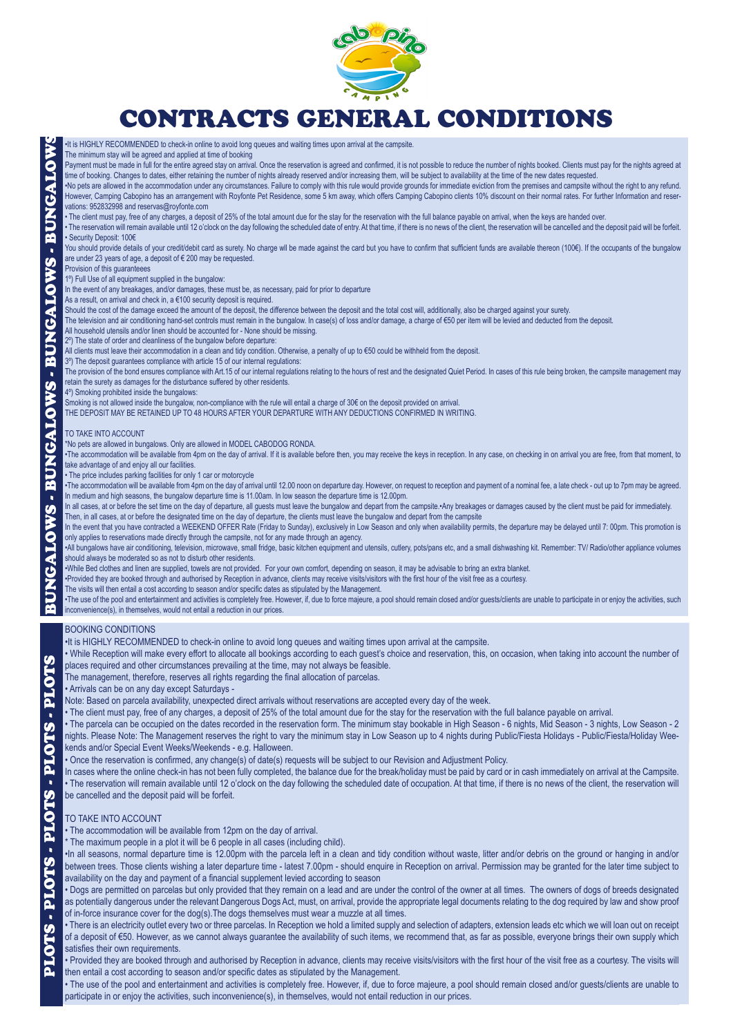

# CONTRACTS GENERAL CONDITIONS

The minimum stay will be agreed and applied at time of booking Payment must be made in full for the entire agreed stay on arrival. Once the reservation is agreed and confirmed, it is not possible to reduce the number of nights booked. Clients must pay for the nights agreed at time of booking. Changes to dates, either retaining the number of nights already reserved and/or increasing them, will be subject to availability at the time of the new dates requested. •No pets are allowed in the accommodation under any circumstances. Failure to comply with this rule would provide grounds for immediate eviction from the premises and campsite without the right to any refund. However, Camping Cabopino has an arrangement with Royfonte Pet Residence, some 5 km away, which offers Camping Cabopino clients 10% discount on their normal rates. For further Information and reservations: 952832998 and reservas@royfonte.com • The client must pay, free of any charges, a deposit of 25% of the total amount due for the stay for the reservation with the full balance payable on arrival, when the keys are handed over. . The reservation will remain available until 12 o'clock on the day following the scheduled date of entry. At that time, if there is no news of the client, the reservation will be cancelled and the deposit paid will be for • Security Deposit: 100€ You should provide details of your credit/debit card as surety. No charge wll be made against the card but you have to confirm that sufficient funds are available thereon (100€). If the occupants of the bungalow are under 23 years of age, a deposit of € 200 may be requested. **Provision of this guaranteees** 1º) Full Use of all equipment supplied in the bungalow: In the event of any breakages, and/or damages, these must be, as necessary, paid for prior to departure As a result, on arrival and check in, a €100 security deposit is required. Should the cost of the damage exceed the amount of the deposit, the difference between the deposit and the total cost will, additionally, also be charged against your surety. The television and air conditioning hand-set controls must remain in the bungalow. In case(s) of loss and/or damage, a charge of €50 per item will be levied and deducted from the deposit. All household utensils and/or linen should be accounted for - None should be missing. 2<sup>o</sup>) The state of order and cleanliness of the bungalow before departure: All clients must leave their accommodation in a clean and tidy condition. Otherwise, a penalty of up to €50 could be withheld from the deposit. 3º) The deposit guarantees compliance with article 15 of our internal regulations: The provision of the bond ensures compliance with Art.15 of our internal regulations relating to the hours of rest and the designated Quiet Period. In cases of this rule being broken, the campsite management may retain the surety as damages for the disturbance suffered by other residents. 4º) Smoking prohibited inside the bungalows: Smoking is not allowed inside the bungalow, non-compliance with the rule will entail a charge of 30€ on the deposit provided on arrival. THE DEPOSIT MAY BE RETAINED UP TO 48 HOURS AFTER YOUR DEPARTURE WITH ANY DEDUCTIONS CONFIRMED IN WRITING. TO TAKE INTO ACCOUNT \*No pets are allowed in bungalows. Only are allowed in MODEL CABODOG RONDA. •The accommodation will be available from 4pm on the day of arrival. If it is available before then, you may receive the keys in reception. In any case, on checking in on arrival you are free, from that moment, to take advantage of and enjoy all our facilities. • The price includes parking facilities for only 1 car or motorcycle •The accommodation will be available from 4pm on the day of arrival until 12.00 noon on departure day. However, on request to reception and payment of a nominal fee, a late check - out up to 7pm may be agreed. In medium and high seasons, the bungalow departure time is 11.00am. In low season the departure time is 12.00pm. In all cases, at or before the set time on the day of departure, all guests must leave the bungalow and depart from the campsite.•Any breakages or damages caused by the client must be paid for immediately. Then, in all cases, at or before the designated time on the day of departure, the clients must leave the bungalow and depart from the campsite In the event that you have contracted a WEEKEND OFFER Rate (Friday to Sunday), exclusively in Low Season and only when availability permits, the departure may be delayed until 7: 00pm. This promotion is only applies to reservations made directly through the campsite, not for any made through an agency.

•All bungalows have air conditioning, television, microwave, small fridge, basic kitchen equipment and utensils, cutlery, pots/pans etc, and a small dishwashing kit. Remember: TV/ Radio/other appliance volumes should always be moderated so as not to disturb other residents.

•While Bed clothes and linen are supplied, towels are not provided. For your own comfort, depending on season, it may be advisable to bring an extra blanket.

•Provided they are booked through and authorised by Reception in advance, clients may receive visits/visitors with the first hour of the visit free as a courtesy.

The visits will then entail a cost according to season and/or specific dates as stipulated by the Management.

•It is HIGHLY RECOMMENDED to check-in online to avoid long queues and waiting times upon arrival at the campsite.

•The use of the pool and entertainment and activities is completely free. However, if, due to force majeure, a pool should remain closed and/or guests/clients are unable to participate in or enjoy the activities, such inconvenience(s), in themselves, would not entail a reduction in our prices.

#### BOOKING CONDITIONS

•It is HIGHLY RECOMMENDED to check-in online to avoid long queues and waiting times upon arrival at the campsite.

• While Reception will make every effort to allocate all bookings according to each guest's choice and reservation, this, on occasion, when taking into account the number of places required and other circumstances prevailing at the time, may not always be feasible.

The management, therefore, reserves all rights regarding the final allocation of parcelas.

• Arrivals can be on any day except Saturdays -

Note: Based on parcela availability, unexpected direct arrivals without reservations are accepted every day of the week.

• The client must pay, free of any charges, a deposit of 25% of the total amount due for the stay for the reservation with the full balance payable on arrival.

• The parcela can be occupied on the dates recorded in the reservation form. The minimum stay bookable in High Season - 6 nights, Mid Season - 3 nights, Low Season - 2 nights. Please Note: The Management reserves the right to vary the minimum stay in Low Season up to 4 nights during Public/Fiesta Holidays - Public/Fiesta/Holiday Weekends and/or Special Event Weeks/Weekends - e.g. Halloween.

• Once the reservation is confirmed, any change(s) of date(s) requests will be subject to our Revision and Adjustment Policy.

In cases where the online check-in has not been fully completed, the balance due for the break/holiday must be paid by card or in cash immediately on arrival at the Campsite. • The reservation will remain available until 12 o'clock on the day following the scheduled date of occupation. At that time, if there is no news of the client, the reservation will be cancelled and the deposit paid will be forfeit.

#### TO TAKE INTO ACCOUNT

BUNGALOWS PLOTS - PLOTS - PLOTS - PLOTS - PLOTS

PLOTS

 $\mathbf{r}$ 

PLOTS

 $\bullet$ 

PLOTS

PLOTS

PLOTS

À

• The accommodation will be available from 12pm on the day of arrival.

\* The maximum people in a plot it will be 6 people in all cases (including child).

•In all seasons, normal departure time is 12.00pm with the parcela left in a clean and tidy condition without waste, litter and/or debris on the ground or hanging in and/or between trees. Those clients wishing a later departure time - latest 7.00pm - should enquire in Reception on arrival. Permission may be granted for the later time subject to availability on the day and payment of a financial supplement levied according to season

• Dogs are permitted on parcelas but only provided that they remain on a lead and are under the control of the owner at all times. The owners of dogs of breeds designated as potentially dangerous under the relevant Dangerous Dogs Act, must, on arrival, provide the appropriate legal documents relating to the dog required by law and show proof of in-force insurance cover for the dog(s).The dogs themselves must wear a muzzle at all times.

• There is an electricity outlet every two or three parcelas. In Reception we hold a limited supply and selection of adapters, extension leads etc which we will loan out on receipt of a deposit of €50. However, as we cannot always guarantee the availability of such items, we recommend that, as far as possible, everyone brings their own supply which satisfies their own requirements.

• Provided they are booked through and authorised by Reception in advance, clients may receive visits/visitors with the first hour of the visit free as a courtesy. The visits will then entail a cost according to season and/or specific dates as stipulated by the Management.

• The use of the pool and entertainment and activities is completely free. However, if, due to force majeure, a pool should remain closed and/or guests/clients are unable to participate in or enjoy the activities, such inconvenience(s), in themselves, would not entail reduction in our prices.